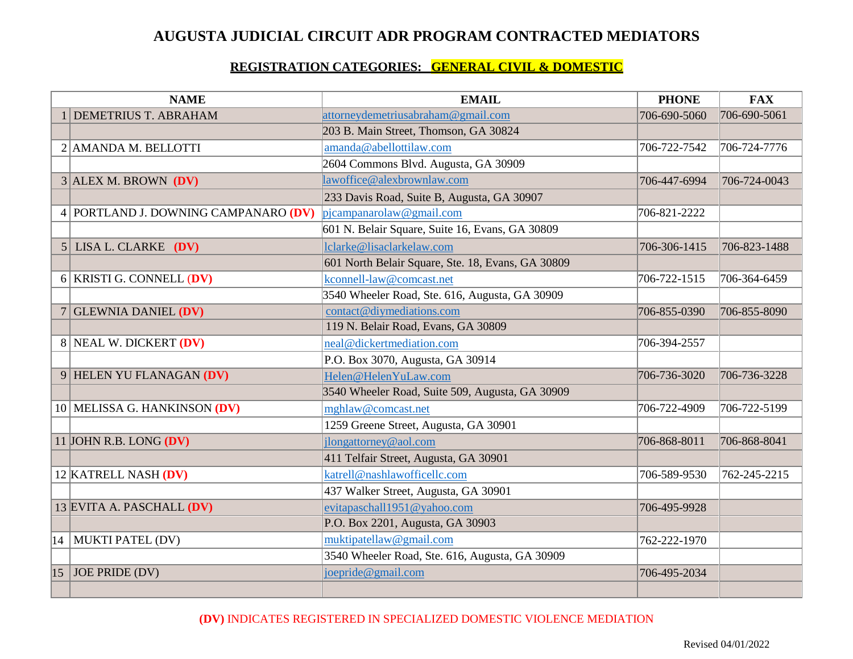## **AUGUSTA JUDICIAL CIRCUIT ADR PROGRAM CONTRACTED MEDIATORS**

#### **REGISTRATION CATEGORIES: GENERAL CIVIL & DOMESTIC**

| <b>NAME</b>    |                                      | <b>EMAIL</b>                                      | <b>PHONE</b> | <b>FAX</b>   |
|----------------|--------------------------------------|---------------------------------------------------|--------------|--------------|
|                | 1 DEMETRIUS T. ABRAHAM               | attorneydemetriusabraham@gmail.com                | 706-690-5060 | 706-690-5061 |
|                |                                      | 203 B. Main Street, Thomson, GA 30824             |              |              |
|                | 2 AMANDA M. BELLOTTI                 | amanda@abellottilaw.com                           | 706-722-7542 | 706-724-7776 |
|                |                                      | 2604 Commons Blvd. Augusta, GA 30909              |              |              |
|                | $3$ ALEX M. BROWN (DV)               | lawoffice@alexbrownlaw.com                        | 706-447-6994 | 706-724-0043 |
|                |                                      | 233 Davis Road, Suite B, Augusta, GA 30907        |              |              |
|                | 4 PORTLAND J. DOWNING CAMPANARO (DV) | $p$ icampanarolaw@gmail.com                       | 706-821-2222 |              |
|                |                                      | 601 N. Belair Square, Suite 16, Evans, GA 30809   |              |              |
| $\overline{5}$ | LISA L. CLARKE (DV)                  | lclarke@lisaclarkelaw.com                         | 706-306-1415 | 706-823-1488 |
|                |                                      | 601 North Belair Square, Ste. 18, Evans, GA 30809 |              |              |
| 6 <sup>1</sup> | <b>KRISTI G. CONNELL (DV)</b>        | kconnell-law@comcast.net                          | 706-722-1515 | 706-364-6459 |
|                |                                      | 3540 Wheeler Road, Ste. 616, Augusta, GA 30909    |              |              |
|                | 7 GLEWNIA DANIEL $(DV)$              | contact@diymediations.com                         | 706-855-0390 | 706-855-8090 |
|                |                                      | 119 N. Belair Road, Evans, GA 30809               |              |              |
|                | 8 NEAL W. DICKERT (DV)               | neal@dickertmediation.com                         | 706-394-2557 |              |
|                |                                      | P.O. Box 3070, Augusta, GA 30914                  |              |              |
|                | 9 HELEN YU FLANAGAN (DV)             | Helen@HelenYuLaw.com                              | 706-736-3020 | 706-736-3228 |
|                |                                      | 3540 Wheeler Road, Suite 509, Augusta, GA 30909   |              |              |
|                | 10 MELISSA G. HANKINSON (DV)         | mghlaw@comcast.net                                | 706-722-4909 | 706-722-5199 |
|                |                                      | 1259 Greene Street, Augusta, GA 30901             |              |              |
|                | 11 JOHN R.B. LONG $(DV)$             | jlongattorney@aol.com                             | 706-868-8011 | 706-868-8041 |
|                |                                      | 411 Telfair Street, Augusta, GA 30901             |              |              |
|                | 12 KATRELL NASH (DV)                 | katrell@nashlawofficellc.com                      | 706-589-9530 | 762-245-2215 |
|                |                                      | 437 Walker Street, Augusta, GA 30901              |              |              |
|                | 13 EVITA A. PASCHALL (DV)            | evitapaschall1951@yahoo.com                       | 706-495-9928 |              |
|                |                                      | P.O. Box 2201, Augusta, GA 30903                  |              |              |
|                | 14   MUKTI PATEL (DV)                | muktipatellaw@gmail.com                           | 762-222-1970 |              |
|                |                                      | 3540 Wheeler Road, Ste. 616, Augusta, GA 30909    |              |              |
|                | $15$ JOE PRIDE (DV)                  | joepride@gmail.com                                | 706-495-2034 |              |
|                |                                      |                                                   |              |              |

## **(DV)** INDICATES REGISTERED IN SPECIALIZED DOMESTIC VIOLENCE MEDIATION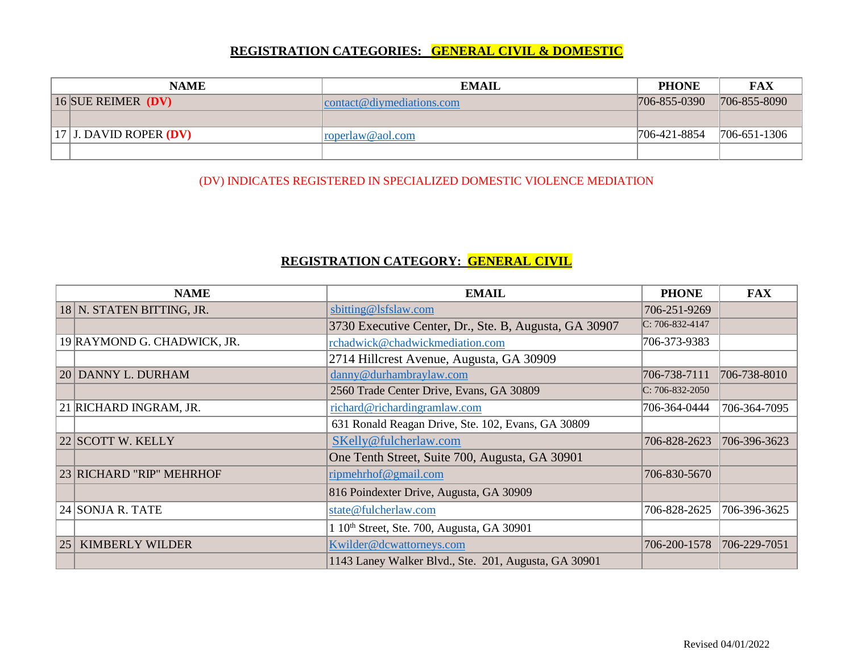## **REGISTRATION CATEGORIES: GENERAL CIVIL & DOMESTIC**

| <b>NAME</b>          |                            | <b>EMAIL</b>              | <b>PHONE</b> | FAX                |
|----------------------|----------------------------|---------------------------|--------------|--------------------|
| 16 SUE REIMER $(DV)$ |                            | contact@diymediations.com | 706-855-0390 | 706-855-8090       |
|                      |                            |                           |              |                    |
|                      | $ 17 $ J. DAVID ROPER (DV) | roperlaw@aol.com          | 706-421-8854 | $706 - 651 - 1306$ |
|                      |                            |                           |              |                    |

(DV) INDICATES REGISTERED IN SPECIALIZED DOMESTIC VIOLENCE MEDIATION

## **REGISTRATION CATEGORY: GENERAL CIVIL**

| <b>NAME</b> |                             | <b>EMAIL</b>                                           | <b>PHONE</b>          | <b>FAX</b>   |
|-------------|-----------------------------|--------------------------------------------------------|-----------------------|--------------|
|             | 18 N. STATEN BITTING, JR.   | sbitting@lsfslaw.com                                   | 706-251-9269          |              |
|             |                             | 3730 Executive Center, Dr., Ste. B, Augusta, GA 30907  | $C: 706 - 832 - 4147$ |              |
|             | 19 RAYMOND G. CHADWICK, JR. | rchadwick@chadwickmediation.com                        | 706-373-9383          |              |
|             |                             | 2714 Hillcrest Avenue, Augusta, GA 30909               |                       |              |
|             | 20 DANNY L. DURHAM          | danny@durhambraylaw.com                                | 706-738-7111          | 706-738-8010 |
|             |                             | 2560 Trade Center Drive, Evans, GA 30809               | $C: 706-832-2050$     |              |
|             | 21 RICHARD INGRAM, JR.      | richard@richardingramlaw.com                           | 706-364-0444          | 706-364-7095 |
|             |                             | 631 Ronald Reagan Drive, Ste. 102, Evans, GA 30809     |                       |              |
|             | 22 SCOTT W. KELLY           | SKelly@fulcherlaw.com                                  | 706-828-2623          | 706-396-3623 |
|             |                             | One Tenth Street, Suite 700, Augusta, GA 30901         |                       |              |
|             | 23 RICHARD "RIP" MEHRHOF    | ripmehrhof@gmail.com                                   | 706-830-5670          |              |
|             |                             | 816 Poindexter Drive, Augusta, GA 30909                |                       |              |
|             | 24 SONJA R. TATE            | state@fulcherlaw.com                                   | 706-828-2625          | 706-396-3625 |
|             |                             | 1 10 <sup>th</sup> Street, Ste. 700, Augusta, GA 30901 |                       |              |
| 25          | <b>KIMBERLY WILDER</b>      | Kwilder@dcwattorneys.com                               | 706-200-1578          | 706-229-7051 |
|             |                             | 1143 Laney Walker Blvd., Ste. 201, Augusta, GA 30901   |                       |              |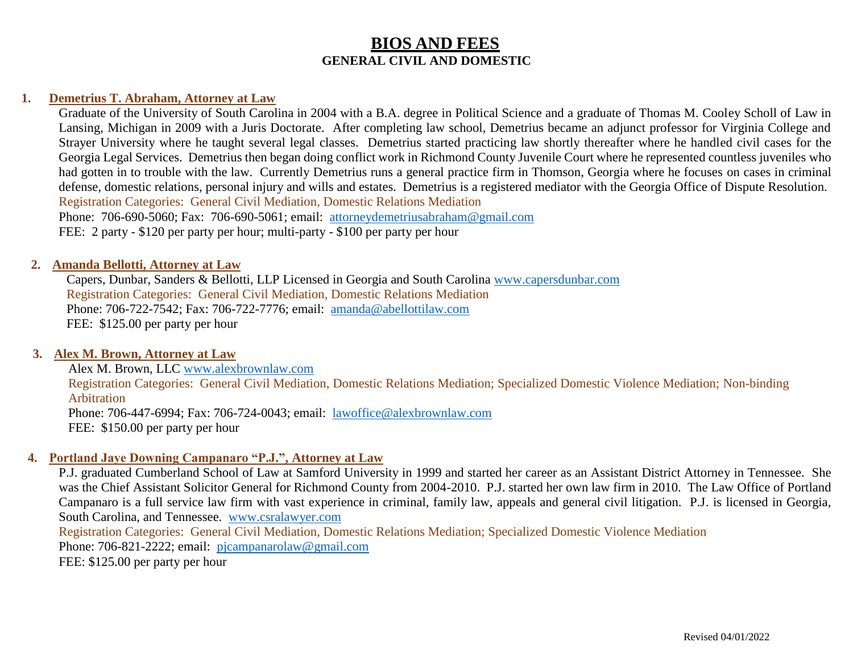### **1. Demetrius T. Abraham, Attorney at Law**

Graduate of the University of South Carolina in 2004 with a B.A. degree in Political Science and a graduate of Thomas M. Cooley Scholl of Law in Lansing, Michigan in 2009 with a Juris Doctorate. After completing law school, Demetrius became an adjunct professor for Virginia College and Strayer University where he taught several legal classes. Demetrius started practicing law shortly thereafter where he handled civil cases for the Georgia Legal Services. Demetrius then began doing conflict work in Richmond County Juvenile Court where he represented countless juveniles who had gotten in to trouble with the law. Currently Demetrius runs a general practice firm in Thomson, Georgia where he focuses on cases in criminal defense, domestic relations, personal injury and wills and estates. Demetrius is a registered mediator with the Georgia Office of Dispute Resolution. Registration Categories: General Civil Mediation, Domestic Relations Mediation Phone: 706-690-5060; Fax: 706-690-5061; email: [attorneydemetriusabraham@gmail.com](mailto:attorneydemetriusabraham@gmail.com) FEE: 2 party - \$120 per party per hour; multi-party - \$100 per party per hour

#### **2. Amanda Bellotti, Attorney at Law**

Capers, Dunbar, Sanders & Bellotti, LLP Licensed in Georgia and South Carolina [www.capersdunbar.com](http://www.capersdunbar.com/) Registration Categories: General Civil Mediation, Domestic Relations Mediation Phone: 706-722-7542; Fax: 706-722-7776; email: [amanda@abellottilaw.com](mailto:amanda@abellottilaw.com) FEE: \$125.00 per party per hour

## **3. Alex M. Brown, Attorney at Law**

Alex M. Brown, LLC [www.alexbrownlaw.com](http://www.alexbrownlaw.com/)

Registration Categories: General Civil Mediation, Domestic Relations Mediation; Specialized Domestic Violence Mediation; Non-binding Arbitration Phone: 706-447-6994; Fax: 706-724-0043; email: [lawoffice@alexbrownlaw.com](mailto:lawoffice@alexbrownlaw.com)

FEE: \$150.00 per party per hour

### **4. Portland Jaye Downing Campanaro "P.J.", Attorney at Law**

P.J. graduated Cumberland School of Law at Samford University in 1999 and started her career as an Assistant District Attorney in Tennessee. She was the Chief Assistant Solicitor General for Richmond County from 2004-2010. P.J. started her own law firm in 2010. The Law Office of Portland Campanaro is a full service law firm with vast experience in criminal, family law, appeals and general civil litigation. P.J. is licensed in Georgia, South Carolina, and Tennessee. [www.csralawyer.com](http://www.csralawyer.com/)

Registration Categories: General Civil Mediation, Domestic Relations Mediation; Specialized Domestic Violence Mediation

Phone: 706-821-2222; email: [pjcampanarolaw@gmail.com](mailto:pjcampanarolaw@gmail.com)

FEE: \$125.00 per party per hour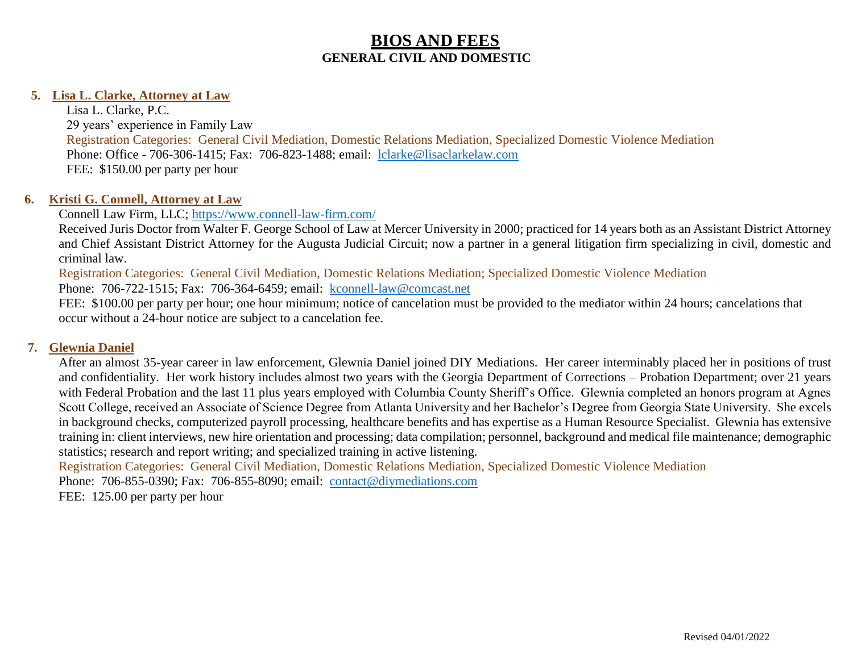## **5. Lisa L. Clarke, Attorney at Law**

Lisa L. Clarke, P.C. 29 years' experience in Family Law Registration Categories: General Civil Mediation, Domestic Relations Mediation, Specialized Domestic Violence Mediation Phone: Office - 706-306-1415; Fax: 706-823-1488; email: [lclarke@lisaclarkelaw.com](mailto:lclarke@lisaclarkelaw.com) FEE: \$150.00 per party per hour

#### **6. Kristi G. Connell, Attorney at Law**

## Connell Law Firm, LLC;<https://www.connell-law-firm.com/>

Received Juris Doctor from Walter F. George School of Law at Mercer University in 2000; practiced for 14 years both as an Assistant District Attorney and Chief Assistant District Attorney for the Augusta Judicial Circuit; now a partner in a general litigation firm specializing in civil, domestic and criminal law.

Registration Categories: General Civil Mediation, Domestic Relations Mediation; Specialized Domestic Violence Mediation

Phone: 706-722-1515; Fax: 706-364-6459; email: [kconnell-law@comcast.net](mailto:kconnell-law@comcast.net)

FEE: \$100.00 per party per hour; one hour minimum; notice of cancelation must be provided to the mediator within 24 hours; cancelations that occur without a 24-hour notice are subject to a cancelation fee.

### **7. Glewnia Daniel**

After an almost 35-year career in law enforcement, Glewnia Daniel joined DIY Mediations. Her career interminably placed her in positions of trust and confidentiality. Her work history includes almost two years with the Georgia Department of Corrections – Probation Department; over 21 years with Federal Probation and the last 11 plus years employed with Columbia County Sheriff's Office. Glewnia completed an honors program at Agnes Scott College, received an Associate of Science Degree from Atlanta University and her Bachelor's Degree from Georgia State University. She excels in background checks, computerized payroll processing, healthcare benefits and has expertise as a Human Resource Specialist. Glewnia has extensive training in: client interviews, new hire orientation and processing; data compilation; personnel, background and medical file maintenance; demographic statistics; research and report writing; and specialized training in active listening.

Registration Categories: General Civil Mediation, Domestic Relations Mediation, Specialized Domestic Violence Mediation Phone: 706-855-0390; Fax: 706-855-8090; email: [contact@diymediations.](mailto:contact@diymediations)com

FEE: 125.00 per party per hour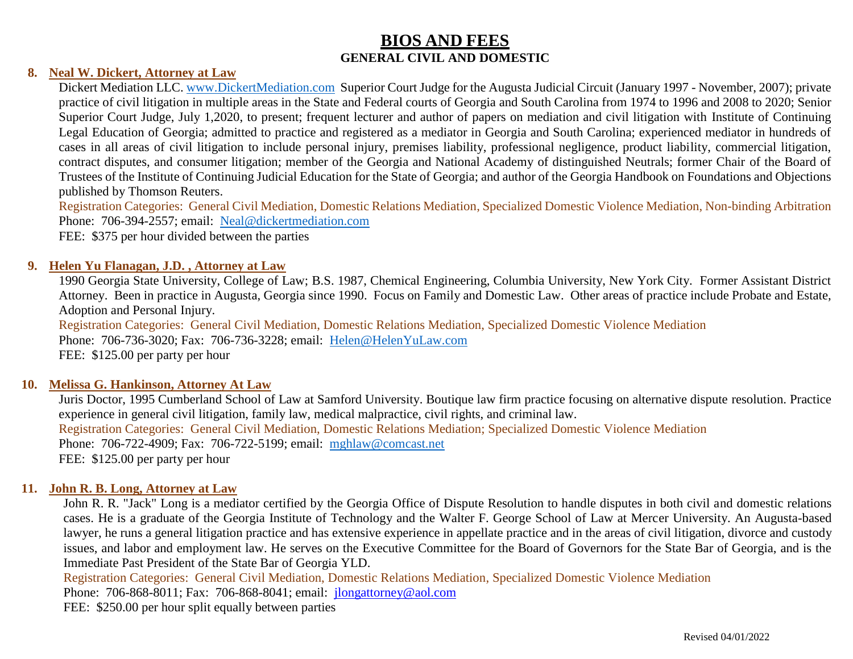#### **8. Neal W. Dickert, Attorney at Law**

Dickert Mediation LLC. [www.DickertMediation.com](http://www.dickertmediation.com/) Superior Court Judge for the Augusta Judicial Circuit (January 1997 - November, 2007); private practice of civil litigation in multiple areas in the State and Federal courts of Georgia and South Carolina from 1974 to 1996 and 2008 to 2020; Senior Superior Court Judge, July 1,2020, to present; frequent lecturer and author of papers on mediation and civil litigation with Institute of Continuing Legal Education of Georgia; admitted to practice and registered as a mediator in Georgia and South Carolina; experienced mediator in hundreds of cases in all areas of civil litigation to include personal injury, premises liability, professional negligence, product liability, commercial litigation, contract disputes, and consumer litigation; member of the Georgia and National Academy of distinguished Neutrals; former Chair of the Board of Trustees of the Institute of Continuing Judicial Education for the State of Georgia; and author of the Georgia Handbook on Foundations and Objections published by Thomson Reuters.

Registration Categories: General Civil Mediation, Domestic Relations Mediation, Specialized Domestic Violence Mediation, Non-binding Arbitration Phone: 706-394-2557; email: [Neal@dickertmediation.com](mailto:Neal@dickertmediation.com)

FEE: \$375 per hour divided between the parties

#### **9. Helen Yu Flanagan, J.D. , Attorney at Law**

1990 Georgia State University, College of Law; B.S. 1987, Chemical Engineering, Columbia University, New York City. Former Assistant District Attorney. Been in practice in Augusta, Georgia since 1990. Focus on Family and Domestic Law. Other areas of practice include Probate and Estate, Adoption and Personal Injury.

Registration Categories: General Civil Mediation, Domestic Relations Mediation, Specialized Domestic Violence Mediation Phone: 706-736-3020; Fax: 706-736-3228; email: [Helen@HelenYuLaw.com](mailto:Helen@HelenYuLaw.com) FEE: \$125.00 per party per hour

#### **10. Melissa G. Hankinson, Attorney At Law**

Juris Doctor, 1995 Cumberland School of Law at Samford University. Boutique law firm practice focusing on alternative dispute resolution. Practice experience in general civil litigation, family law, medical malpractice, civil rights, and criminal law. Registration Categories: General Civil Mediation, Domestic Relations Mediation; Specialized Domestic Violence Mediation Phone: 706-722-4909; Fax: 706-722-5199; email: [mghlaw@comcast.net](mailto:mghlaw@comcast.net) FEE: \$125.00 per party per hour

#### **11. John R. B. Long, Attorney at Law**

John R. R. "Jack" Long is a mediator certified by the Georgia Office of Dispute Resolution to handle disputes in both civil and domestic relations cases. He is a graduate of the Georgia Institute of Technology and the Walter F. George School of Law at Mercer University. An Augusta-based lawyer, he runs a general litigation practice and has extensive experience in appellate practice and in the areas of civil litigation, divorce and custody issues, and labor and employment law. He serves on the Executive Committee for the Board of Governors for the State Bar of Georgia, and is the Immediate Past President of the State Bar of Georgia YLD.

Registration Categories: General Civil Mediation, Domestic Relations Mediation, Specialized Domestic Violence Mediation Phone: 706-868-8011; Fax: 706-868-8041; email: [jlongattorney@aol.com](mailto:jlongattorney@aol.com)

FEE: \$250.00 per hour split equally between parties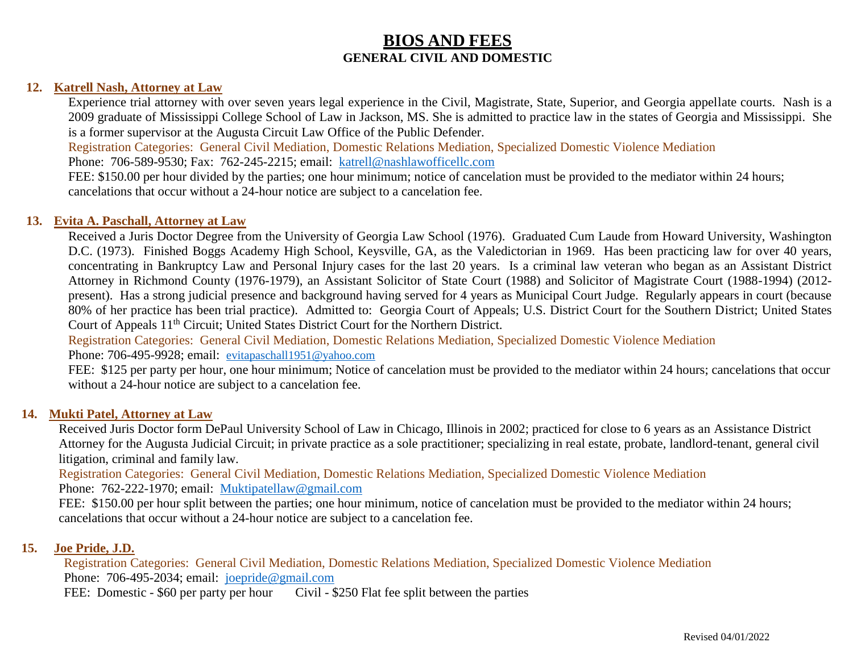#### **12. Katrell Nash, Attorney at Law**

Experience trial attorney with over seven years legal experience in the Civil, Magistrate, State, Superior, and Georgia appellate courts. Nash is a 2009 graduate of Mississippi College School of Law in Jackson, MS. She is admitted to practice law in the states of Georgia and Mississippi. She is a former supervisor at the Augusta Circuit Law Office of the Public Defender.

Registration Categories: General Civil Mediation, Domestic Relations Mediation, Specialized Domestic Violence Mediation

Phone: 706-589-9530; Fax: 762-245-2215; email: [katrell@nashlawofficellc.com](mailto:katrell@nashlawofficellc.com)

FEE: \$150.00 per hour divided by the parties; one hour minimum; notice of cancelation must be provided to the mediator within 24 hours; cancelations that occur without a 24-hour notice are subject to a cancelation fee.

#### **13. Evita A. Paschall, Attorney at Law**

Received a Juris Doctor Degree from the University of Georgia Law School (1976). Graduated Cum Laude from Howard University, Washington D.C. (1973). Finished Boggs Academy High School, Keysville, GA, as the Valedictorian in 1969. Has been practicing law for over 40 years, concentrating in Bankruptcy Law and Personal Injury cases for the last 20 years. Is a criminal law veteran who began as an Assistant District Attorney in Richmond County (1976-1979), an Assistant Solicitor of State Court (1988) and Solicitor of Magistrate Court (1988-1994) (2012 present). Has a strong judicial presence and background having served for 4 years as Municipal Court Judge. Regularly appears in court (because 80% of her practice has been trial practice). Admitted to: Georgia Court of Appeals; U.S. District Court for the Southern District; United States Court of Appeals 11<sup>th</sup> Circuit; United States District Court for the Northern District.

Registration Categories: General Civil Mediation, Domestic Relations Mediation, Specialized Domestic Violence Mediation Phone: 706-495-9928; email: [evitapaschall1951@yahoo.com](mailto:evitapaschall1951@yahoo.com)

FEE: \$125 per party per hour, one hour minimum; Notice of cancelation must be provided to the mediator within 24 hours; cancelations that occur without a 24-hour notice are subject to a cancelation fee.

#### **14. Mukti Patel, Attorney at Law**

Received Juris Doctor form DePaul University School of Law in Chicago, Illinois in 2002; practiced for close to 6 years as an Assistance District Attorney for the Augusta Judicial Circuit; in private practice as a sole practitioner; specializing in real estate, probate, landlord-tenant, general civil litigation, criminal and family law.

Registration Categories: General Civil Mediation, Domestic Relations Mediation, Specialized Domestic Violence Mediation Phone: 762-222-1970; email: [Muktipatellaw@gmail.com](mailto:Muktipatellaw@gmail.com)

FEE: \$150.00 per hour split between the parties; one hour minimum, notice of cancelation must be provided to the mediator within 24 hours; cancelations that occur without a 24-hour notice are subject to a cancelation fee.

#### **15. Joe Pride, J.D.**

Registration Categories: General Civil Mediation, Domestic Relations Mediation, Specialized Domestic Violence Mediation Phone: 706-495-2034; email: [joepride@gmail.com](mailto:joepride@gmail.com) FEE: Domestic - \$60 per party per hour Civil - \$250 Flat fee split between the parties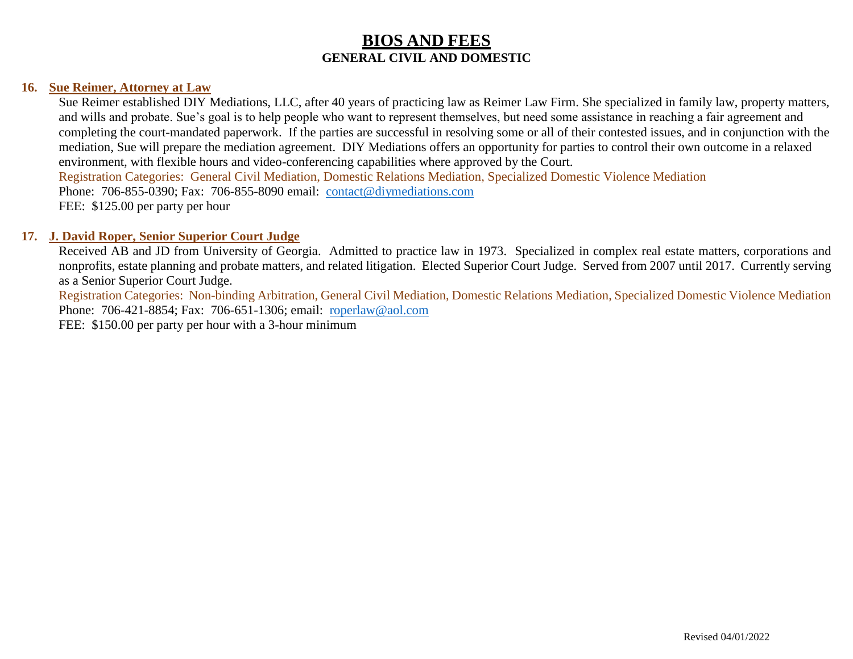#### **16. Sue Reimer, Attorney at Law**

Sue Reimer established DIY Mediations, LLC, after 40 years of practicing law as Reimer Law Firm. She specialized in family law, property matters, and wills and probate. Sue's goal is to help people who want to represent themselves, but need some assistance in reaching a fair agreement and completing the court-mandated paperwork. If the parties are successful in resolving some or all of their contested issues, and in conjunction with the mediation, Sue will prepare the mediation agreement. DIY Mediations offers an opportunity for parties to control their own outcome in a relaxed environment, with flexible hours and video-conferencing capabilities where approved by the Court. Registration Categories: General Civil Mediation, Domestic Relations Mediation, Specialized Domestic Violence Mediation Phone: 706-855-0390; Fax: 706-855-8090 email: [contact@diymediations.com](mailto:contact@diymediations.com) FEE: \$125.00 per party per hour

#### **17. J. David Roper, Senior Superior Court Judge**

Received AB and JD from University of Georgia. Admitted to practice law in 1973. Specialized in complex real estate matters, corporations and nonprofits, estate planning and probate matters, and related litigation. Elected Superior Court Judge. Served from 2007 until 2017. Currently serving as a Senior Superior Court Judge.

Registration Categories: Non-binding Arbitration, General Civil Mediation, Domestic Relations Mediation, Specialized Domestic Violence Mediation Phone: 706-421-8854; Fax: 706-651-1306; email: [roperlaw@aol.com](mailto:roperlaw@aol.com) FEE: \$150.00 per party per hour with a 3-hour minimum

Revised 04/01/2022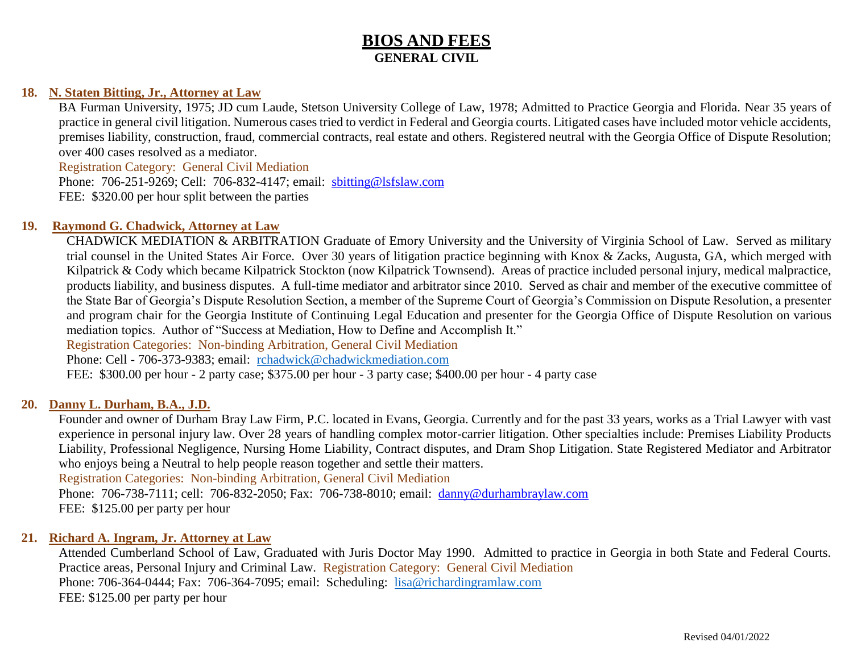# **BIOS AND FEES GENERAL CIVIL**

## **18. N. Staten Bitting, Jr., Attorney at Law**

BA Furman University, 1975; JD cum Laude, Stetson University College of Law, 1978; Admitted to Practice Georgia and Florida. Near 35 years of practice in general civil litigation. Numerous cases tried to verdict in Federal and Georgia courts. Litigated cases have included motor vehicle accidents, premises liability, construction, fraud, commercial contracts, real estate and others. Registered neutral with the Georgia Office of Dispute Resolution; over 400 cases resolved as a mediator.

Registration Category: General Civil Mediation Phone: 706-251-9269; Cell: 706-832-4147; email: sbitting@lsfslaw.com FEE: \$320.00 per hour split between the parties

### **19. Raymond G. Chadwick, Attorney at Law**

CHADWICK MEDIATION & ARBITRATION Graduate of Emory University and the University of Virginia School of Law. Served as military trial counsel in the United States Air Force. Over 30 years of litigation practice beginning with Knox & Zacks, Augusta, GA, which merged with Kilpatrick & Cody which became Kilpatrick Stockton (now Kilpatrick Townsend). Areas of practice included personal injury, medical malpractice, products liability, and business disputes. A full-time mediator and arbitrator since 2010. Served as chair and member of the executive committee of the State Bar of Georgia's Dispute Resolution Section, a member of the Supreme Court of Georgia's Commission on Dispute Resolution, a presenter and program chair for the Georgia Institute of Continuing Legal Education and presenter for the Georgia Office of Dispute Resolution on various mediation topics. Author of "Success at Mediation, How to Define and Accomplish It."

Registration Categories: Non-binding Arbitration, General Civil Mediation

Phone: Cell - 706-373-9383; email: [rchadwick@chadwickmediation.com](mailto:rchadwick@chadwickmediation.com)

FEE: \$300.00 per hour - 2 party case; \$375.00 per hour - 3 party case; \$400.00 per hour - 4 party case

#### **20. Danny L. Durham, B.A., J.D.**

Founder and owner of Durham Bray Law Firm, P.C. located in Evans, Georgia. Currently and for the past 33 years, works as a Trial Lawyer with vast experience in personal injury law. Over 28 years of handling complex motor-carrier litigation. Other specialties include: Premises Liability Products Liability, Professional Negligence, Nursing Home Liability, Contract disputes, and Dram Shop Litigation. State Registered Mediator and Arbitrator who enjoys being a Neutral to help people reason together and settle their matters.

Registration Categories: Non-binding Arbitration, General Civil Mediation

Phone: 706-738-7111; cell: 706-832-2050; Fax: 706-738-8010; email: danny@durhambraylaw.com FEE: \$125.00 per party per hour

## **21. Richard A. Ingram, Jr. Attorney at Law**

Attended Cumberland School of Law, Graduated with Juris Doctor May 1990. Admitted to practice in Georgia in both State and Federal Courts. Practice areas, Personal Injury and Criminal Law. Registration Category: General Civil Mediation Phone: 706-364-0444; Fax: 706-364-7095; email: Scheduling: [lisa@richardingramlaw.com](mailto:lisa@richardingramlaw.com) FEE: \$125.00 per party per hour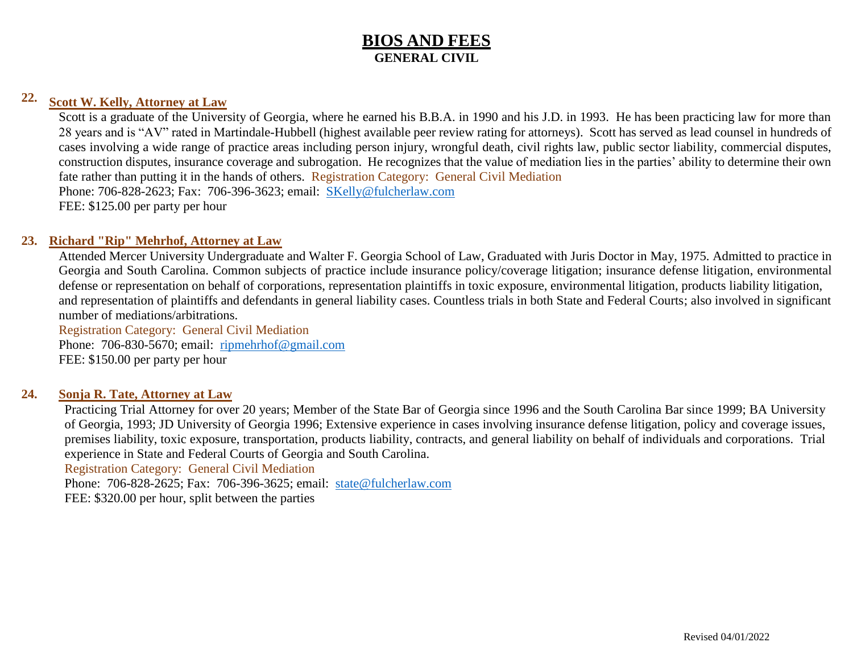# **BIOS AND FEES GENERAL CIVIL**

# **22. Scott W. Kelly, Attorney at Law**

Scott is a graduate of the University of Georgia, where he earned his B.B.A. in 1990 and his J.D. in 1993. He has been practicing law for more than 28 years and is "AV" rated in Martindale-Hubbell (highest available peer review rating for attorneys). Scott has served as lead counsel in hundreds of cases involving a wide range of practice areas including person injury, wrongful death, civil rights law, public sector liability, commercial disputes, construction disputes, insurance coverage and subrogation. He recognizes that the value of mediation lies in the parties' ability to determine their own fate rather than putting it in the hands of others. Registration Category: General Civil Mediation Phone: 706-828-2623; Fax: 706-396-3623; email: [SKelly@fulcherlaw.com](mailto:SKelly@fulcherlaw.com) FEE: \$125.00 per party per hour

## **23. Richard "Rip" Mehrhof, Attorney at Law**

Attended Mercer University Undergraduate and Walter F. Georgia School of Law, Graduated with Juris Doctor in May, 1975. Admitted to practice in Georgia and South Carolina. Common subjects of practice include insurance policy/coverage litigation; insurance defense litigation, environmental defense or representation on behalf of corporations, representation plaintiffs in toxic exposure, environmental litigation, products liability litigation, and representation of plaintiffs and defendants in general liability cases. Countless trials in both State and Federal Courts; also involved in significant number of mediations/arbitrations.

Registration Category: General Civil Mediation Phone: 706-830-5670; email: [ripmehrhof@gmail.com](mailto:ripmehrhof@gmail.com) FEE: \$150.00 per party per hour

### **24. Sonja R. Tate, Attorney at Law**

Practicing Trial Attorney for over 20 years; Member of the State Bar of Georgia since 1996 and the South Carolina Bar since 1999; BA University of Georgia, 1993; JD University of Georgia 1996; Extensive experience in cases involving insurance defense litigation, policy and coverage issues, premises liability, toxic exposure, transportation, products liability, contracts, and general liability on behalf of individuals and corporations. Trial experience in State and Federal Courts of Georgia and South Carolina.

Registration Category: General Civil Mediation

Phone: 706-828-2625; Fax: 706-396-3625; email: [state@fulcherlaw.com](mailto:state@fulcherlaw.com) FEE: \$320.00 per hour, split between the parties